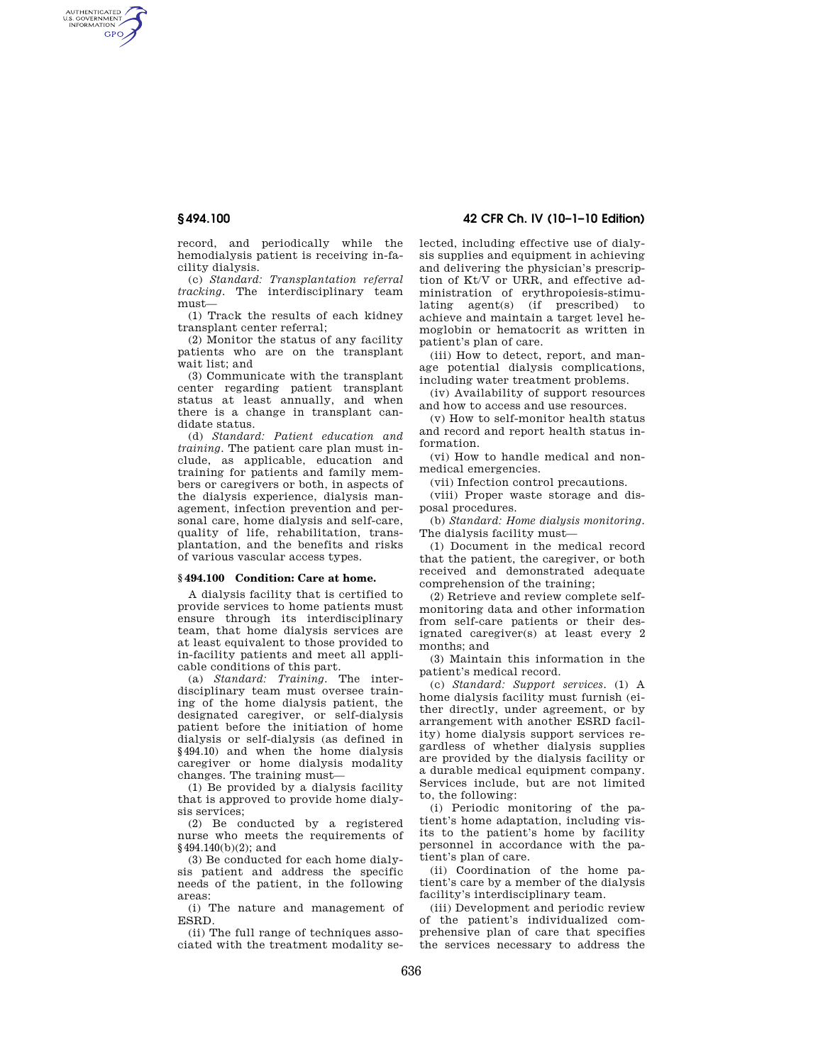AUTHENTICATED<br>U.S. GOVERNMENT<br>INFORMATION **GPO** 

> record, and periodically while the hemodialysis patient is receiving in-facility dialysis.

> (c) *Standard: Transplantation referral tracking*. The interdisciplinary team must—

> (1) Track the results of each kidney transplant center referral;

> (2) Monitor the status of any facility patients who are on the transplant wait list; and

> (3) Communicate with the transplant center regarding patient transplant status at least annually, and when there is a change in transplant candidate status.

> (d) *Standard: Patient education and training*. The patient care plan must include, as applicable, education and training for patients and family members or caregivers or both, in aspects of the dialysis experience, dialysis management, infection prevention and personal care, home dialysis and self-care, quality of life, rehabilitation, transplantation, and the benefits and risks of various vascular access types.

### **§ 494.100 Condition: Care at home.**

A dialysis facility that is certified to provide services to home patients must ensure through its interdisciplinary team, that home dialysis services are at least equivalent to those provided to in-facility patients and meet all applicable conditions of this part.

(a) *Standard: Training.* The interdisciplinary team must oversee training of the home dialysis patient, the designated caregiver, or self-dialysis patient before the initiation of home dialysis or self-dialysis (as defined in §494.10) and when the home dialysis caregiver or home dialysis modality changes. The training must—

(1) Be provided by a dialysis facility that is approved to provide home dialysis services;

(2) Be conducted by a registered nurse who meets the requirements of §494.140(b)(2); and

(3) Be conducted for each home dialysis patient and address the specific needs of the patient, in the following areas:

(i) The nature and management of ESRD.

(ii) The full range of techniques associated with the treatment modality se-

# **§ 494.100 42 CFR Ch. IV (10–1–10 Edition)**

lected, including effective use of dialysis supplies and equipment in achieving and delivering the physician's prescription of Kt/V or URR, and effective administration of erythropoiesis-stimulating agent(s) (if prescribed) to achieve and maintain a target level hemoglobin or hematocrit as written in patient's plan of care.

(iii) How to detect, report, and manage potential dialysis complications, including water treatment problems.

(iv) Availability of support resources and how to access and use resources.

(v) How to self-monitor health status and record and report health status information.

(vi) How to handle medical and nonmedical emergencies.

(vii) Infection control precautions.

(viii) Proper waste storage and disposal procedures.

(b) *Standard: Home dialysis monitoring.*  The dialysis facility must—

(1) Document in the medical record that the patient, the caregiver, or both received and demonstrated adequate comprehension of the training;

(2) Retrieve and review complete selfmonitoring data and other information from self-care patients or their designated caregiver(s) at least every 2 months; and

(3) Maintain this information in the patient's medical record.

(c) *Standard: Support services.* (1) A home dialysis facility must furnish (either directly, under agreement, or by arrangement with another ESRD facility) home dialysis support services regardless of whether dialysis supplies are provided by the dialysis facility or a durable medical equipment company. Services include, but are not limited to, the following:

(i) Periodic monitoring of the patient's home adaptation, including visits to the patient's home by facility personnel in accordance with the patient's plan of care.

(ii) Coordination of the home patient's care by a member of the dialysis facility's interdisciplinary team.

(iii) Development and periodic review of the patient's individualized comprehensive plan of care that specifies the services necessary to address the